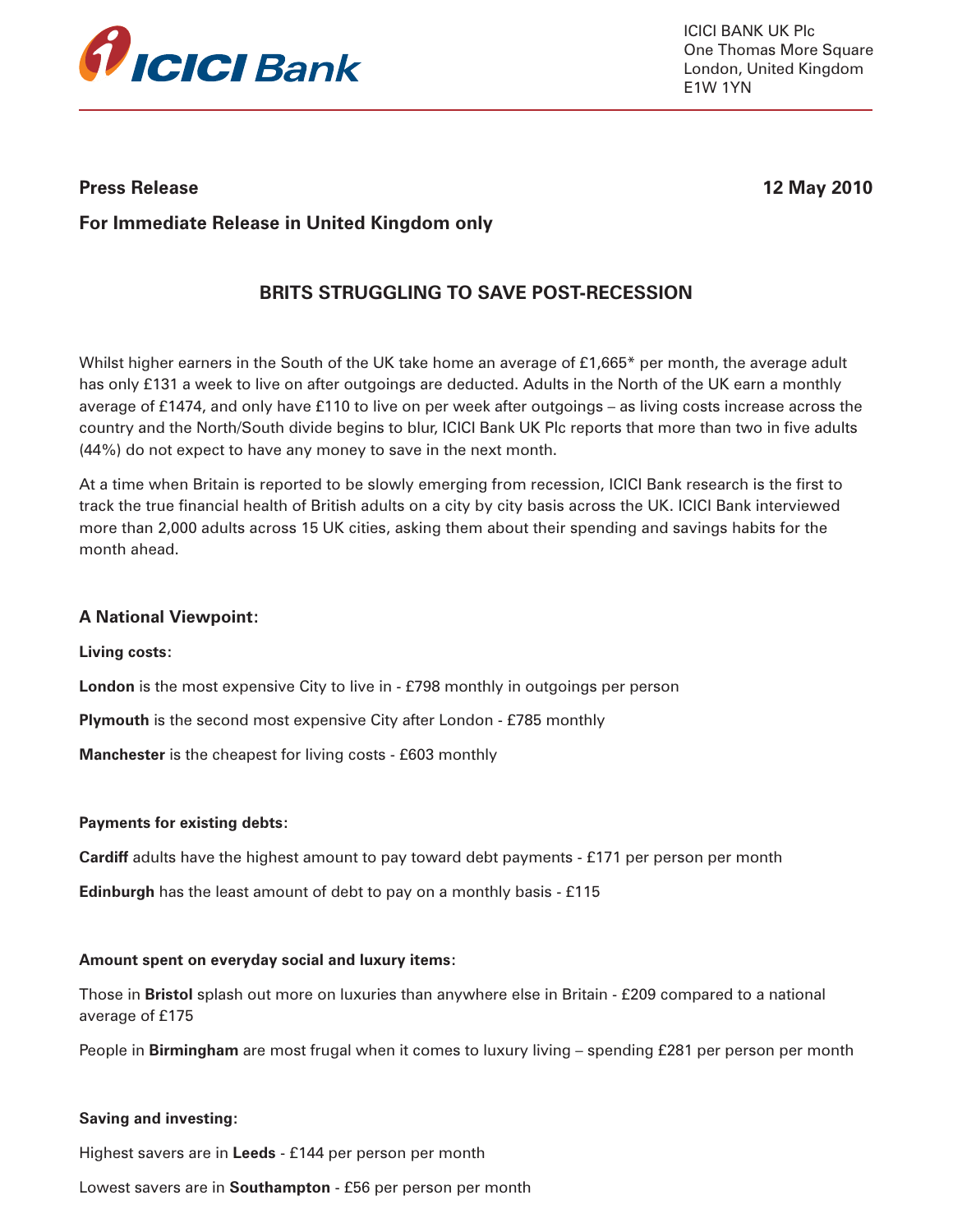

ICICI BANK UK Plc One Thomas More Square London, United Kingdom E1W 1YN

## **Press Release 12 May 2010**

# **For Immediate Release in United Kingdom only**

# **BRITS STRUGGLING TO SAVE POST-RECESSION**

Whilst higher earners in the South of the UK take home an average of £1,665\* per month, the average adult has only £131 a week to live on after outgoings are deducted. Adults in the North of the UK earn a monthly average of £1474, and only have £110 to live on per week after outgoings – as living costs increase across the country and the North/South divide begins to blur, ICICI Bank UK Plc reports that more than two in five adults (44%) do not expect to have any money to save in the next month.

At a time when Britain is reported to be slowly emerging from recession, ICICI Bank research is the first to track the true financial health of British adults on a city by city basis across the UK. ICICI Bank interviewed more than 2,000 adults across 15 UK cities, asking them about their spending and savings habits for the month ahead.

### **A National Viewpoint:**

**Living costs:**

**London** is the most expensive City to live in - £798 monthly in outgoings per person

**Plymouth** is the second most expensive City after London - £785 monthly

**Manchester** is the cheapest for living costs - £603 monthly

### **Payments for existing debts:**

**Cardiff** adults have the highest amount to pay toward debt payments - £171 per person per month

**Edinburgh** has the least amount of debt to pay on a monthly basis - £115

### **Amount spent on everyday social and luxury items:**

Those in **Bristol** splash out more on luxuries than anywhere else in Britain - £209 compared to a national average of £175

People in **Birmingham** are most frugal when it comes to luxury living – spending £281 per person per month

### **Saving and investing:**

Highest savers are in **Leeds** - £144 per person per month

Lowest savers are in **Southampton** - £56 per person per month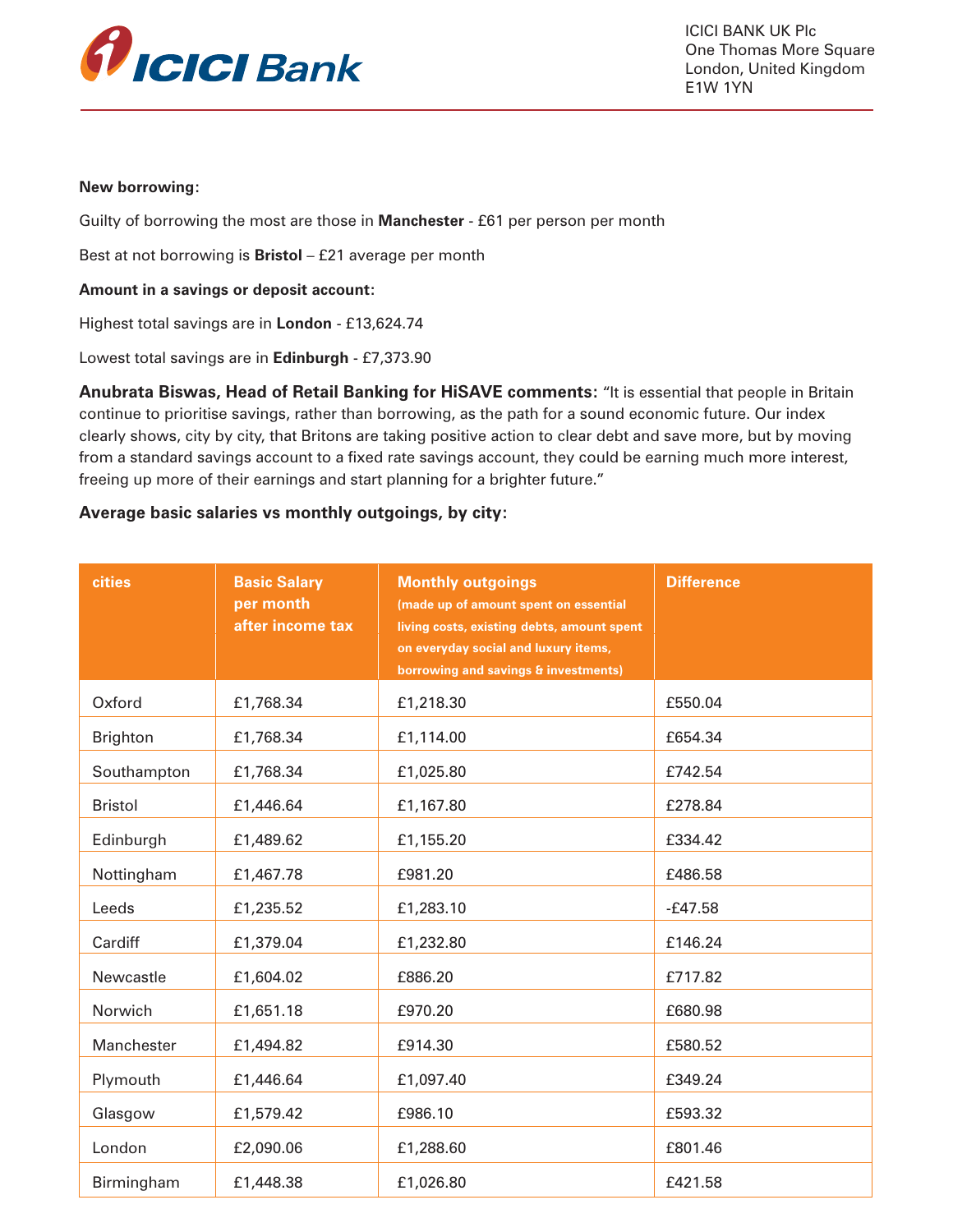

ICICI BANK UK Plc One Thomas More Square London, United Kingdom E1W 1YN

#### **New borrowing:**

Guilty of borrowing the most are those in **Manchester** - £61 per person per month

Best at not borrowing is **Bristol** – £21 average per month

#### **Amount in a savings or deposit account:**

Highest total savings are in **London** - £13,624.74

Lowest total savings are in **Edinburgh** - £7,373.90

**Anubrata Biswas, Head of Retail Banking for HiSAVE comments:** "It is essential that people in Britain continue to prioritise savings, rather than borrowing, as the path for a sound economic future. Our index clearly shows, city by city, that Britons are taking positive action to clear debt and save more, but by moving from a standard savings account to a fixed rate savings account, they could be earning much more interest, freeing up more of their earnings and start planning for a brighter future."

## **Average basic salaries vs monthly outgoings, by city:**

| cities          | <b>Basic Salary</b><br>per month<br>after income tax | <b>Monthly outgoings</b><br>(made up of amount spent on essential<br>living costs, existing debts, amount spent<br>on everyday social and luxury items,<br>borrowing and savings & investments) | <b>Difference</b> |
|-----------------|------------------------------------------------------|-------------------------------------------------------------------------------------------------------------------------------------------------------------------------------------------------|-------------------|
| Oxford          | £1,768.34                                            | £1,218.30                                                                                                                                                                                       | £550.04           |
| <b>Brighton</b> | £1,768.34                                            | £1,114.00                                                                                                                                                                                       | £654.34           |
| Southampton     | £1,768.34                                            | £1,025.80                                                                                                                                                                                       | £742.54           |
| <b>Bristol</b>  | £1,446.64                                            | £1,167.80                                                                                                                                                                                       | £278.84           |
| Edinburgh       | £1,489.62                                            | £1,155.20                                                                                                                                                                                       | £334.42           |
| Nottingham      | £1,467.78                                            | £981.20                                                                                                                                                                                         | £486.58           |
| Leeds           | £1,235.52                                            | £1,283.10                                                                                                                                                                                       | $-E47.58$         |
| Cardiff         | £1,379.04                                            | £1,232.80                                                                                                                                                                                       | £146.24           |
| Newcastle       | £1,604.02                                            | £886.20                                                                                                                                                                                         | £717.82           |
| <b>Norwich</b>  | £1,651.18                                            | £970.20                                                                                                                                                                                         | £680.98           |
| Manchester      | £1,494.82                                            | £914.30                                                                                                                                                                                         | £580.52           |
| Plymouth        | £1,446.64                                            | £1,097.40                                                                                                                                                                                       | £349.24           |
| Glasgow         | £1,579.42                                            | £986.10                                                                                                                                                                                         | £593.32           |
| London          | £2,090.06                                            | £1,288.60                                                                                                                                                                                       | £801.46           |
| Birmingham      | £1,448.38                                            | £1,026.80                                                                                                                                                                                       | £421.58           |